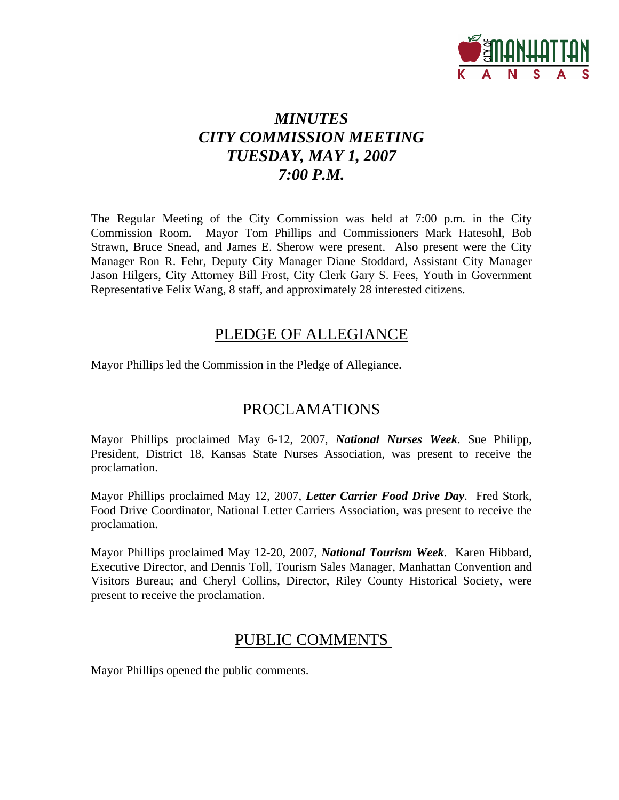

## *MINUTES CITY COMMISSION MEETING TUESDAY, MAY 1, 2007 7:00 P.M.*

The Regular Meeting of the City Commission was held at 7:00 p.m. in the City Commission Room. Mayor Tom Phillips and Commissioners Mark Hatesohl, Bob Strawn, Bruce Snead, and James E. Sherow were present. Also present were the City Manager Ron R. Fehr, Deputy City Manager Diane Stoddard, Assistant City Manager Jason Hilgers, City Attorney Bill Frost, City Clerk Gary S. Fees, Youth in Government Representative Felix Wang, 8 staff, and approximately 28 interested citizens.

## PLEDGE OF ALLEGIANCE

Mayor Phillips led the Commission in the Pledge of Allegiance.

## PROCLAMATIONS

Mayor Phillips proclaimed May 6-12, 2007, *National Nurses Week*. Sue Philipp, President, District 18, Kansas State Nurses Association, was present to receive the proclamation.

Mayor Phillips proclaimed May 12, 2007, *Letter Carrier Food Drive Day*. Fred Stork, Food Drive Coordinator, National Letter Carriers Association, was present to receive the proclamation.

Mayor Phillips proclaimed May 12-20, 2007, *National Tourism Week*. Karen Hibbard, Executive Director, and Dennis Toll, Tourism Sales Manager, Manhattan Convention and Visitors Bureau; and Cheryl Collins, Director, Riley County Historical Society, were present to receive the proclamation.

## PUBLIC COMMENTS

Mayor Phillips opened the public comments.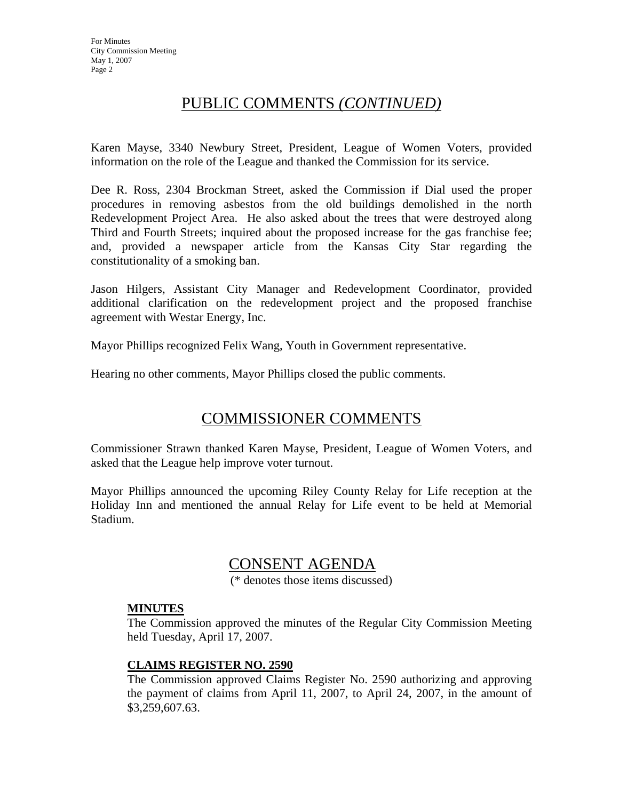## PUBLIC COMMENTS *(CONTINUED)*

Karen Mayse, 3340 Newbury Street, President, League of Women Voters, provided information on the role of the League and thanked the Commission for its service.

Dee R. Ross, 2304 Brockman Street, asked the Commission if Dial used the proper procedures in removing asbestos from the old buildings demolished in the north Redevelopment Project Area. He also asked about the trees that were destroyed along Third and Fourth Streets; inquired about the proposed increase for the gas franchise fee; and, provided a newspaper article from the Kansas City Star regarding the constitutionality of a smoking ban.

Jason Hilgers, Assistant City Manager and Redevelopment Coordinator, provided additional clarification on the redevelopment project and the proposed franchise agreement with Westar Energy, Inc.

Mayor Phillips recognized Felix Wang, Youth in Government representative.

Hearing no other comments, Mayor Phillips closed the public comments.

## COMMISSIONER COMMENTS

Commissioner Strawn thanked Karen Mayse, President, League of Women Voters, and asked that the League help improve voter turnout.

Mayor Phillips announced the upcoming Riley County Relay for Life reception at the Holiday Inn and mentioned the annual Relay for Life event to be held at Memorial Stadium.

### CONSENT AGENDA

(\* denotes those items discussed)

#### **MINUTES**

The Commission approved the minutes of the Regular City Commission Meeting held Tuesday, April 17, 2007.

#### **CLAIMS REGISTER NO. 2590**

The Commission approved Claims Register No. 2590 authorizing and approving the payment of claims from April 11, 2007, to April 24, 2007, in the amount of \$3,259,607.63.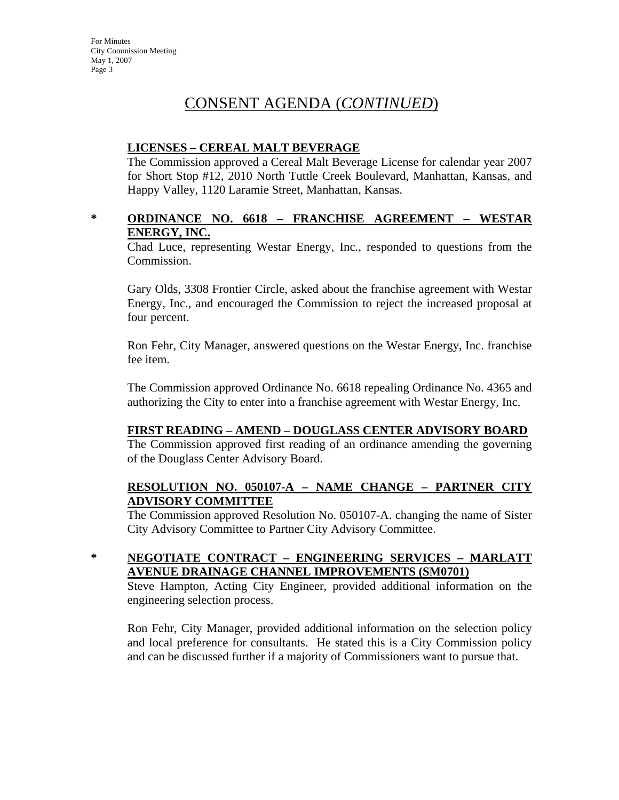## CONSENT AGENDA (*CONTINUED*)

#### **LICENSES – CEREAL MALT BEVERAGE**

The Commission approved a Cereal Malt Beverage License for calendar year 2007 for Short Stop #12, 2010 North Tuttle Creek Boulevard, Manhattan, Kansas, and Happy Valley, 1120 Laramie Street, Manhattan, Kansas.

#### **\* ORDINANCE NO. 6618 – FRANCHISE AGREEMENT – WESTAR ENERGY, INC.**

Chad Luce, representing Westar Energy, Inc., responded to questions from the Commission.

Gary Olds, 3308 Frontier Circle, asked about the franchise agreement with Westar Energy, Inc., and encouraged the Commission to reject the increased proposal at four percent.

Ron Fehr, City Manager, answered questions on the Westar Energy, Inc. franchise fee item.

The Commission approved Ordinance No. 6618 repealing Ordinance No. 4365 and authorizing the City to enter into a franchise agreement with Westar Energy, Inc.

#### **FIRST READING – AMEND – DOUGLASS CENTER ADVISORY BOARD**

The Commission approved first reading of an ordinance amending the governing of the Douglass Center Advisory Board.

#### **RESOLUTION NO. 050107-A – NAME CHANGE – PARTNER CITY ADVISORY COMMITTEE**

The Commission approved Resolution No. 050107-A. changing the name of Sister City Advisory Committee to Partner City Advisory Committee.

**\* NEGOTIATE CONTRACT – ENGINEERING SERVICES – MARLATT AVENUE DRAINAGE CHANNEL IMPROVEMENTS (SM0701)**

Steve Hampton, Acting City Engineer, provided additional information on the engineering selection process.

Ron Fehr, City Manager, provided additional information on the selection policy and local preference for consultants. He stated this is a City Commission policy and can be discussed further if a majority of Commissioners want to pursue that.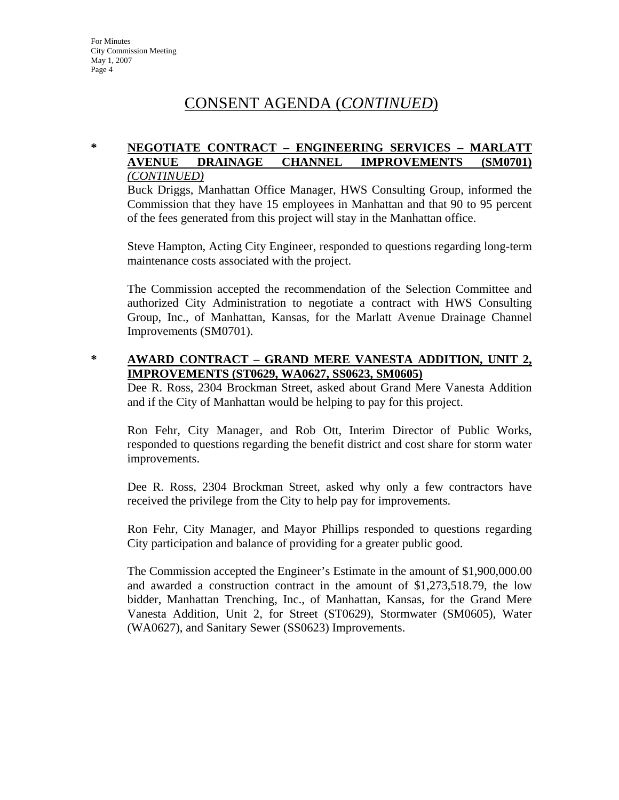## CONSENT AGENDA (*CONTINUED*)

#### **\* NEGOTIATE CONTRACT – ENGINEERING SERVICES – MARLATT AVENUE DRAINAGE CHANNEL IMPROVEMENTS (SM0701)** *(CONTINUED)*

Buck Driggs, Manhattan Office Manager, HWS Consulting Group, informed the Commission that they have 15 employees in Manhattan and that 90 to 95 percent of the fees generated from this project will stay in the Manhattan office.

Steve Hampton, Acting City Engineer, responded to questions regarding long-term maintenance costs associated with the project.

The Commission accepted the recommendation of the Selection Committee and authorized City Administration to negotiate a contract with HWS Consulting Group, Inc., of Manhattan, Kansas, for the Marlatt Avenue Drainage Channel Improvements (SM0701).

#### **\* AWARD CONTRACT – GRAND MERE VANESTA ADDITION, UNIT 2, IMPROVEMENTS (ST0629, WA0627, SS0623, SM0605)**

Dee R. Ross, 2304 Brockman Street, asked about Grand Mere Vanesta Addition and if the City of Manhattan would be helping to pay for this project.

Ron Fehr, City Manager, and Rob Ott, Interim Director of Public Works, responded to questions regarding the benefit district and cost share for storm water improvements.

Dee R. Ross, 2304 Brockman Street, asked why only a few contractors have received the privilege from the City to help pay for improvements.

Ron Fehr, City Manager, and Mayor Phillips responded to questions regarding City participation and balance of providing for a greater public good.

The Commission accepted the Engineer's Estimate in the amount of \$1,900,000.00 and awarded a construction contract in the amount of \$1,273,518.79, the low bidder, Manhattan Trenching, Inc., of Manhattan, Kansas, for the Grand Mere Vanesta Addition, Unit 2, for Street (ST0629), Stormwater (SM0605), Water (WA0627), and Sanitary Sewer (SS0623) Improvements.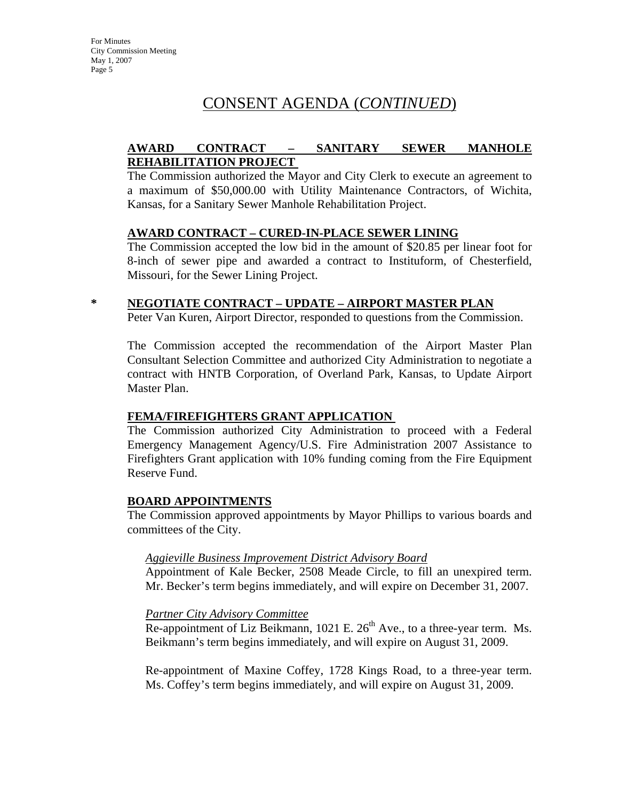## CONSENT AGENDA (*CONTINUED*)

#### **AWARD CONTRACT – SANITARY SEWER MANHOLE REHABILITATION PROJECT**

The Commission authorized the Mayor and City Clerk to execute an agreement to a maximum of \$50,000.00 with Utility Maintenance Contractors, of Wichita, Kansas, for a Sanitary Sewer Manhole Rehabilitation Project.

#### **AWARD CONTRACT – CURED-IN-PLACE SEWER LINING**

The Commission accepted the low bid in the amount of \$20.85 per linear foot for 8-inch of sewer pipe and awarded a contract to Instituform, of Chesterfield, Missouri, for the Sewer Lining Project.

#### **\* NEGOTIATE CONTRACT – UPDATE – AIRPORT MASTER PLAN**

Peter Van Kuren, Airport Director, responded to questions from the Commission.

The Commission accepted the recommendation of the Airport Master Plan Consultant Selection Committee and authorized City Administration to negotiate a contract with HNTB Corporation, of Overland Park, Kansas, to Update Airport Master Plan.

#### **FEMA/FIREFIGHTERS GRANT APPLICATION**

The Commission authorized City Administration to proceed with a Federal Emergency Management Agency/U.S. Fire Administration 2007 Assistance to Firefighters Grant application with 10% funding coming from the Fire Equipment Reserve Fund.

#### **BOARD APPOINTMENTS**

The Commission approved appointments by Mayor Phillips to various boards and committees of the City.

#### *Aggieville Business Improvement District Advisory Board*

Appointment of Kale Becker, 2508 Meade Circle, to fill an unexpired term. Mr. Becker's term begins immediately, and will expire on December 31, 2007.

#### *Partner City Advisory Committee*

Re-appointment of Liz Beikmann, 1021 E.  $26<sup>th</sup>$  Ave., to a three-year term. Ms. Beikmann's term begins immediately, and will expire on August 31, 2009.

Re-appointment of Maxine Coffey, 1728 Kings Road, to a three-year term. Ms. Coffey's term begins immediately, and will expire on August 31, 2009.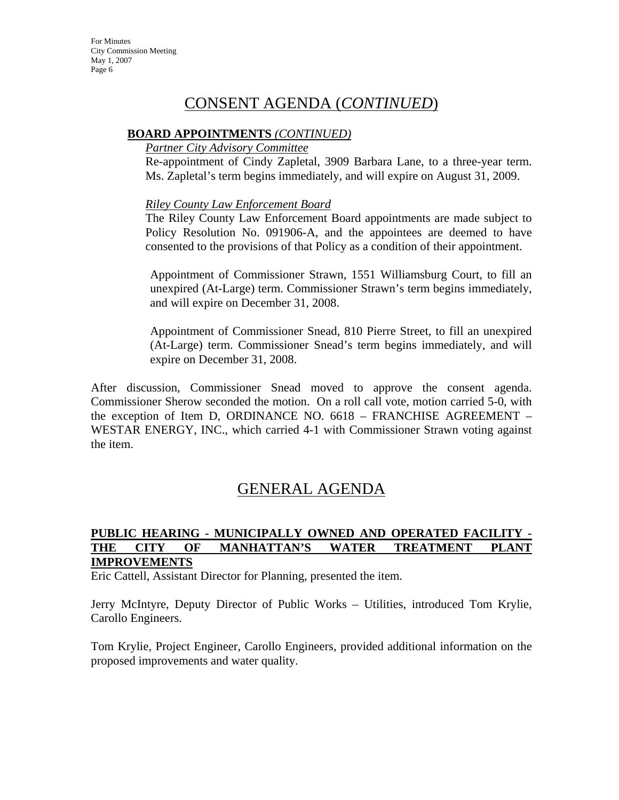## CONSENT AGENDA (*CONTINUED*)

#### **BOARD APPOINTMENTS** *(CONTINUED)*

#### *Partner City Advisory Committee*

Re-appointment of Cindy Zapletal, 3909 Barbara Lane, to a three-year term. Ms. Zapletal's term begins immediately, and will expire on August 31, 2009.

#### *Riley County Law Enforcement Board*

The Riley County Law Enforcement Board appointments are made subject to Policy Resolution No. 091906-A, and the appointees are deemed to have consented to the provisions of that Policy as a condition of their appointment.

Appointment of Commissioner Strawn, 1551 Williamsburg Court, to fill an unexpired (At-Large) term. Commissioner Strawn's term begins immediately, and will expire on December 31, 2008.

Appointment of Commissioner Snead, 810 Pierre Street, to fill an unexpired (At-Large) term. Commissioner Snead's term begins immediately, and will expire on December 31, 2008.

After discussion, Commissioner Snead moved to approve the consent agenda. Commissioner Sherow seconded the motion. On a roll call vote, motion carried 5-0, with the exception of Item D, ORDINANCE NO. 6618 – FRANCHISE AGREEMENT – WESTAR ENERGY, INC., which carried 4-1 with Commissioner Strawn voting against the item.

## GENERAL AGENDA

#### **PUBLIC HEARING - MUNICIPALLY OWNED AND OPERATED FACILITY - THE CITY OF MANHATTAN'S WATER TREATMENT PLANT IMPROVEMENTS**

Eric Cattell, Assistant Director for Planning, presented the item.

Jerry McIntyre, Deputy Director of Public Works – Utilities, introduced Tom Krylie, Carollo Engineers.

Tom Krylie, Project Engineer, Carollo Engineers, provided additional information on the proposed improvements and water quality.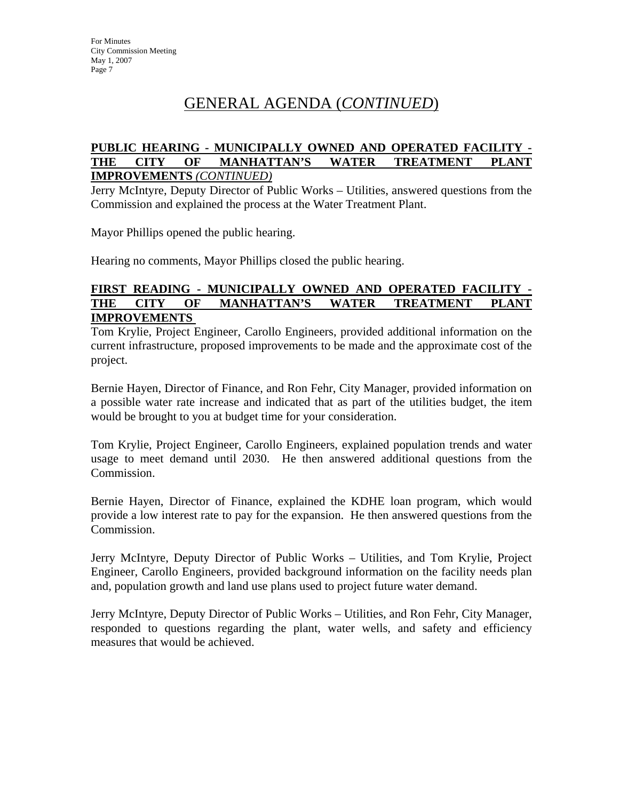## GENERAL AGENDA (*CONTINUED*)

#### **PUBLIC HEARING - MUNICIPALLY OWNED AND OPERATED FACILITY - THE CITY OF MANHATTAN'S WATER TREATMENT PLANT IMPROVEMENTS** *(CONTINUED)*

Jerry McIntyre, Deputy Director of Public Works – Utilities, answered questions from the Commission and explained the process at the Water Treatment Plant.

Mayor Phillips opened the public hearing.

Hearing no comments, Mayor Phillips closed the public hearing.

#### **FIRST READING - MUNICIPALLY OWNED AND OPERATED FACILITY - THE CITY OF MANHATTAN'S WATER TREATMENT PLANT IMPROVEMENTS**

Tom Krylie, Project Engineer, Carollo Engineers, provided additional information on the current infrastructure, proposed improvements to be made and the approximate cost of the project.

Bernie Hayen, Director of Finance, and Ron Fehr, City Manager, provided information on a possible water rate increase and indicated that as part of the utilities budget, the item would be brought to you at budget time for your consideration.

Tom Krylie, Project Engineer, Carollo Engineers, explained population trends and water usage to meet demand until 2030. He then answered additional questions from the Commission.

Bernie Hayen, Director of Finance, explained the KDHE loan program, which would provide a low interest rate to pay for the expansion. He then answered questions from the Commission.

Jerry McIntyre, Deputy Director of Public Works – Utilities, and Tom Krylie, Project Engineer, Carollo Engineers, provided background information on the facility needs plan and, population growth and land use plans used to project future water demand.

Jerry McIntyre, Deputy Director of Public Works – Utilities, and Ron Fehr, City Manager, responded to questions regarding the plant, water wells, and safety and efficiency measures that would be achieved.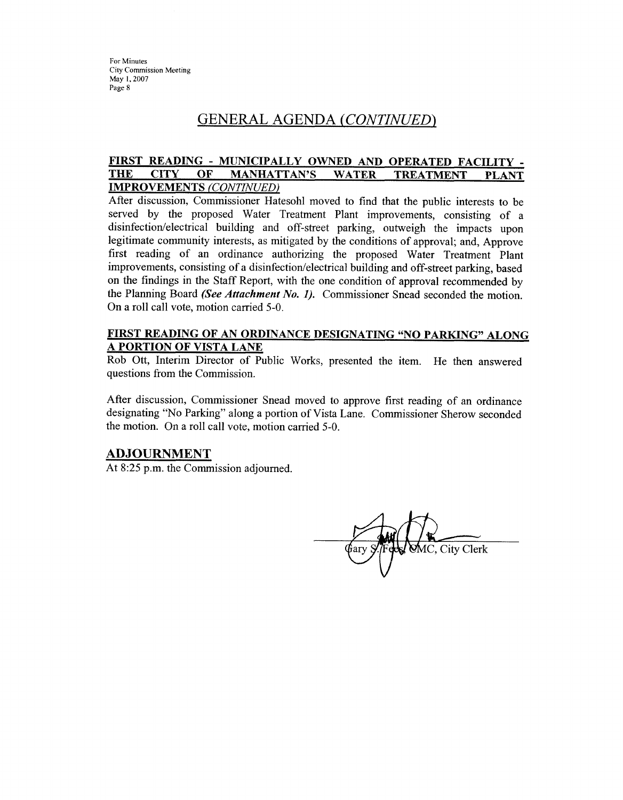## GENERAL AGENDA (CONTINUED)

#### FIRST READING - MUNICIPALLY OWNED AND OPERATED FACILITY -**THE CITY** OF **MANHATTAN'S WATER TREATMENT PLANT IMPROVEMENTS (CONTINUED)**

After discussion, Commissioner Hatesohl moved to find that the public interests to be served by the proposed Water Treatment Plant improvements, consisting of a disinfection/electrical building and off-street parking, outweigh the impacts upon legitimate community interests, as mitigated by the conditions of approval; and, Approve first reading of an ordinance authorizing the proposed Water Treatment Plant improvements, consisting of a disinfection/electrical building and off-street parking, based on the findings in the Staff Report, with the one condition of approval recommended by the Planning Board (See Attachment No. 1). Commissioner Snead seconded the motion. On a roll call vote, motion carried 5-0.

#### FIRST READING OF AN ORDINANCE DESIGNATING "NO PARKING" ALONG A PORTION OF VISTA LANE

Rob Ott, Interim Director of Public Works, presented the item. He then answered questions from the Commission.

After discussion, Commissioner Snead moved to approve first reading of an ordinance designating "No Parking" along a portion of Vista Lane. Commissioner Sherow seconded the motion. On a roll call vote, motion carried 5-0.

#### **ADJOURNMENT**

At 8:25 p.m. the Commission adjourned.

MC. City Clerk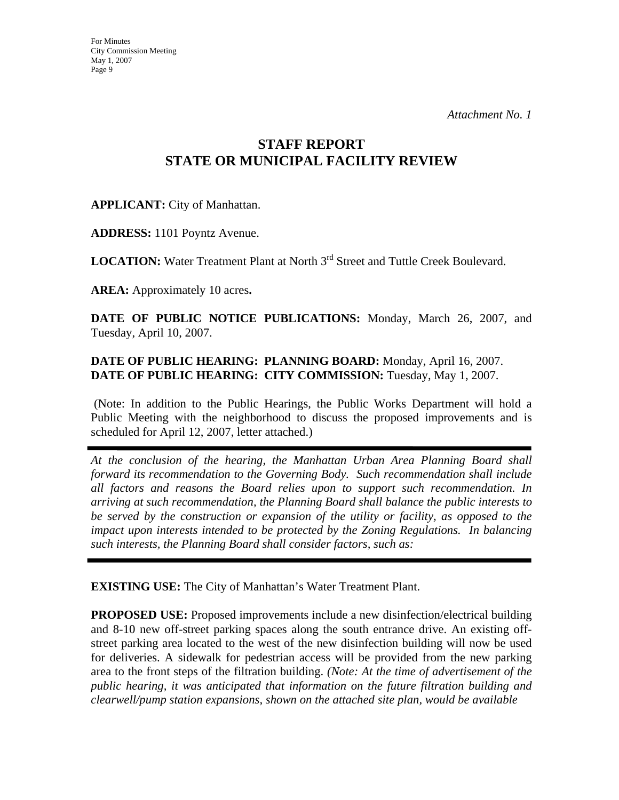*Attachment No. 1*

## **STAFF REPORT STATE OR MUNICIPAL FACILITY REVIEW**

### **APPLICANT:** City of Manhattan.

**ADDRESS:** 1101 Poyntz Avenue.

**LOCATION:** Water Treatment Plant at North 3<sup>rd</sup> Street and Tuttle Creek Boulevard.

**AREA:** Approximately 10 acres**.**

**DATE OF PUBLIC NOTICE PUBLICATIONS:** Monday, March 26, 2007, and Tuesday, April 10, 2007.

#### **DATE OF PUBLIC HEARING: PLANNING BOARD:** Monday, April 16, 2007. **DATE OF PUBLIC HEARING: CITY COMMISSION:** Tuesday, May 1, 2007.

 (Note: In addition to the Public Hearings, the Public Works Department will hold a Public Meeting with the neighborhood to discuss the proposed improvements and is scheduled for April 12, 2007, letter attached.)

*At the conclusion of the hearing, the Manhattan Urban Area Planning Board shall forward its recommendation to the Governing Body. Such recommendation shall include all factors and reasons the Board relies upon to support such recommendation. In arriving at such recommendation, the Planning Board shall balance the public interests to be served by the construction or expansion of the utility or facility, as opposed to the impact upon interests intended to be protected by the Zoning Regulations. In balancing such interests, the Planning Board shall consider factors, such as:* 

**EXISTING USE:** The City of Manhattan's Water Treatment Plant.

**PROPOSED USE:** Proposed improvements include a new disinfection/electrical building and 8-10 new off-street parking spaces along the south entrance drive. An existing offstreet parking area located to the west of the new disinfection building will now be used for deliveries. A sidewalk for pedestrian access will be provided from the new parking area to the front steps of the filtration building. *(Note: At the time of advertisement of the public hearing, it was anticipated that information on the future filtration building and clearwell/pump station expansions, shown on the attached site plan, would be available*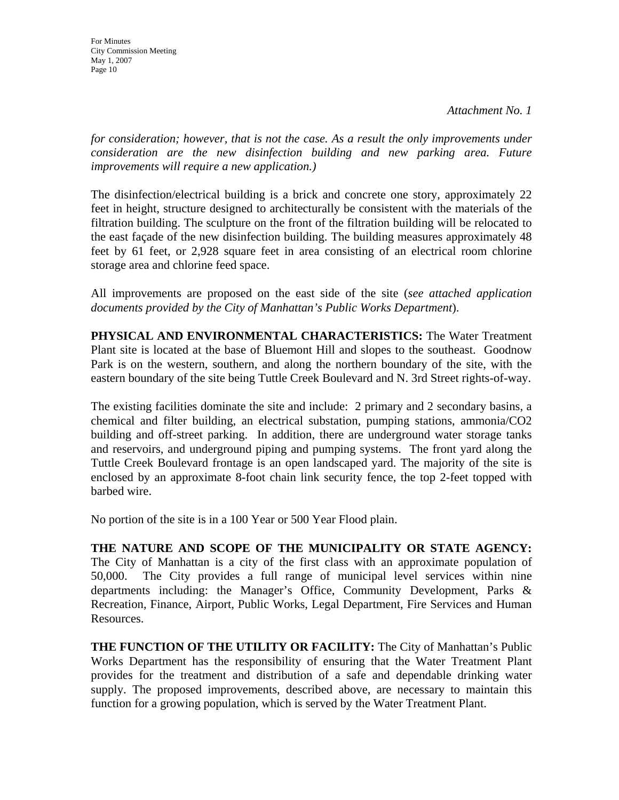*Attachment No. 1*

For Minutes City Commission Meeting May 1, 2007 Page 10

*for consideration; however, that is not the case. As a result the only improvements under consideration are the new disinfection building and new parking area. Future improvements will require a new application.)*

The disinfection/electrical building is a brick and concrete one story, approximately 22 feet in height, structure designed to architecturally be consistent with the materials of the filtration building. The sculpture on the front of the filtration building will be relocated to the east façade of the new disinfection building. The building measures approximately 48 feet by 61 feet, or 2,928 square feet in area consisting of an electrical room chlorine storage area and chlorine feed space.

All improvements are proposed on the east side of the site (*see attached application documents provided by the City of Manhattan's Public Works Department*).

**PHYSICAL AND ENVIRONMENTAL CHARACTERISTICS:** The Water Treatment Plant site is located at the base of Bluemont Hill and slopes to the southeast. Goodnow Park is on the western, southern, and along the northern boundary of the site, with the eastern boundary of the site being Tuttle Creek Boulevard and N. 3rd Street rights-of-way.

The existing facilities dominate the site and include: 2 primary and 2 secondary basins, a chemical and filter building, an electrical substation, pumping stations, ammonia/CO2 building and off-street parking. In addition, there are underground water storage tanks and reservoirs, and underground piping and pumping systems. The front yard along the Tuttle Creek Boulevard frontage is an open landscaped yard. The majority of the site is enclosed by an approximate 8-foot chain link security fence, the top 2-feet topped with barbed wire.

No portion of the site is in a 100 Year or 500 Year Flood plain.

**THE NATURE AND SCOPE OF THE MUNICIPALITY OR STATE AGENCY:**  The City of Manhattan is a city of the first class with an approximate population of 50,000. The City provides a full range of municipal level services within nine departments including: the Manager's Office, Community Development, Parks & Recreation, Finance, Airport, Public Works, Legal Department, Fire Services and Human Resources.

**THE FUNCTION OF THE UTILITY OR FACILITY:** The City of Manhattan's Public Works Department has the responsibility of ensuring that the Water Treatment Plant provides for the treatment and distribution of a safe and dependable drinking water supply. The proposed improvements, described above, are necessary to maintain this function for a growing population, which is served by the Water Treatment Plant.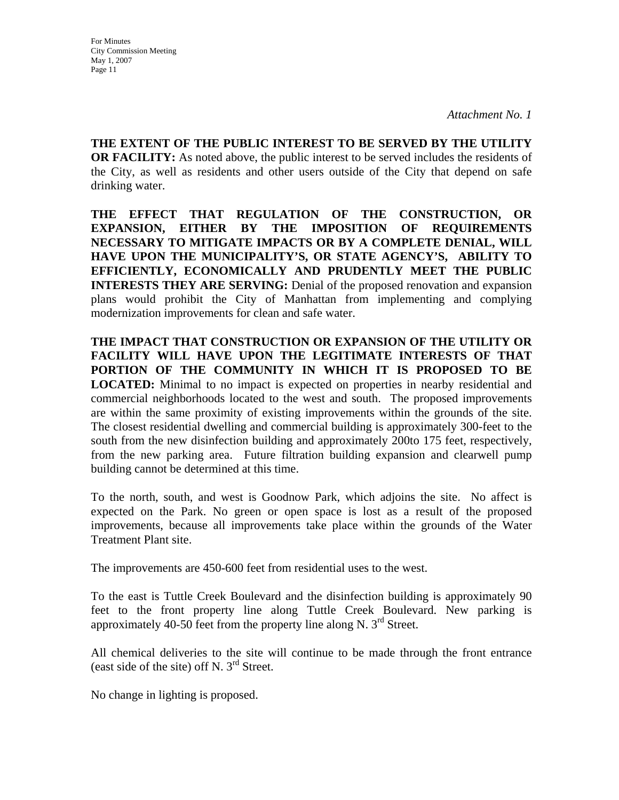*Attachment No. 1*

**THE EXTENT OF THE PUBLIC INTEREST TO BE SERVED BY THE UTILITY OR FACILITY:** As noted above, the public interest to be served includes the residents of the City, as well as residents and other users outside of the City that depend on safe drinking water.

**THE EFFECT THAT REGULATION OF THE CONSTRUCTION, OR EXPANSION, EITHER BY THE IMPOSITION OF REQUIREMENTS NECESSARY TO MITIGATE IMPACTS OR BY A COMPLETE DENIAL, WILL HAVE UPON THE MUNICIPALITY'S, OR STATE AGENCY'S, ABILITY TO EFFICIENTLY, ECONOMICALLY AND PRUDENTLY MEET THE PUBLIC INTERESTS THEY ARE SERVING:** Denial of the proposed renovation and expansion plans would prohibit the City of Manhattan from implementing and complying modernization improvements for clean and safe water.

**THE IMPACT THAT CONSTRUCTION OR EXPANSION OF THE UTILITY OR FACILITY WILL HAVE UPON THE LEGITIMATE INTERESTS OF THAT PORTION OF THE COMMUNITY IN WHICH IT IS PROPOSED TO BE LOCATED:** Minimal to no impact is expected on properties in nearby residential and commercial neighborhoods located to the west and south. The proposed improvements are within the same proximity of existing improvements within the grounds of the site. The closest residential dwelling and commercial building is approximately 300-feet to the south from the new disinfection building and approximately 200to 175 feet, respectively, from the new parking area. Future filtration building expansion and clearwell pump building cannot be determined at this time.

To the north, south, and west is Goodnow Park, which adjoins the site. No affect is expected on the Park. No green or open space is lost as a result of the proposed improvements, because all improvements take place within the grounds of the Water Treatment Plant site.

The improvements are 450-600 feet from residential uses to the west.

To the east is Tuttle Creek Boulevard and the disinfection building is approximately 90 feet to the front property line along Tuttle Creek Boulevard. New parking is approximately 40-50 feet from the property line along N.  $3<sup>rd</sup>$  Street.

All chemical deliveries to the site will continue to be made through the front entrance (east side of the site) off N.  $3<sup>rd</sup>$  Street.

No change in lighting is proposed.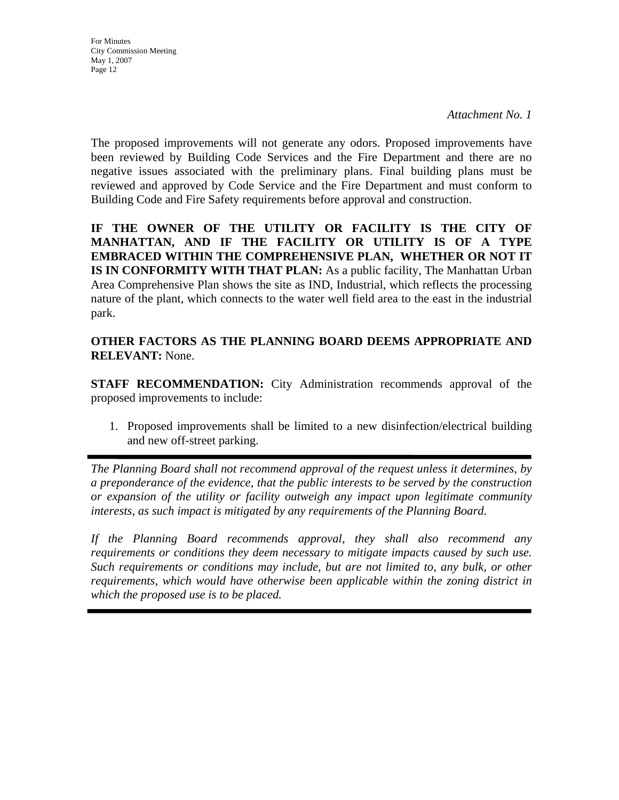*Attachment No. 1*

The proposed improvements will not generate any odors. Proposed improvements have been reviewed by Building Code Services and the Fire Department and there are no negative issues associated with the preliminary plans. Final building plans must be reviewed and approved by Code Service and the Fire Department and must conform to Building Code and Fire Safety requirements before approval and construction.

**IF THE OWNER OF THE UTILITY OR FACILITY IS THE CITY OF MANHATTAN, AND IF THE FACILITY OR UTILITY IS OF A TYPE EMBRACED WITHIN THE COMPREHENSIVE PLAN, WHETHER OR NOT IT IS IN CONFORMITY WITH THAT PLAN:** As a public facility, The Manhattan Urban Area Comprehensive Plan shows the site as IND, Industrial, which reflects the processing nature of the plant, which connects to the water well field area to the east in the industrial park.

**OTHER FACTORS AS THE PLANNING BOARD DEEMS APPROPRIATE AND RELEVANT:** None.

**STAFF RECOMMENDATION:** City Administration recommends approval of the proposed improvements to include:

1. Proposed improvements shall be limited to a new disinfection/electrical building and new off-street parking.

*The Planning Board shall not recommend approval of the request unless it determines, by a preponderance of the evidence, that the public interests to be served by the construction or expansion of the utility or facility outweigh any impact upon legitimate community interests, as such impact is mitigated by any requirements of the Planning Board.* 

*If the Planning Board recommends approval, they shall also recommend any requirements or conditions they deem necessary to mitigate impacts caused by such use. Such requirements or conditions may include, but are not limited to, any bulk, or other requirements, which would have otherwise been applicable within the zoning district in which the proposed use is to be placed.*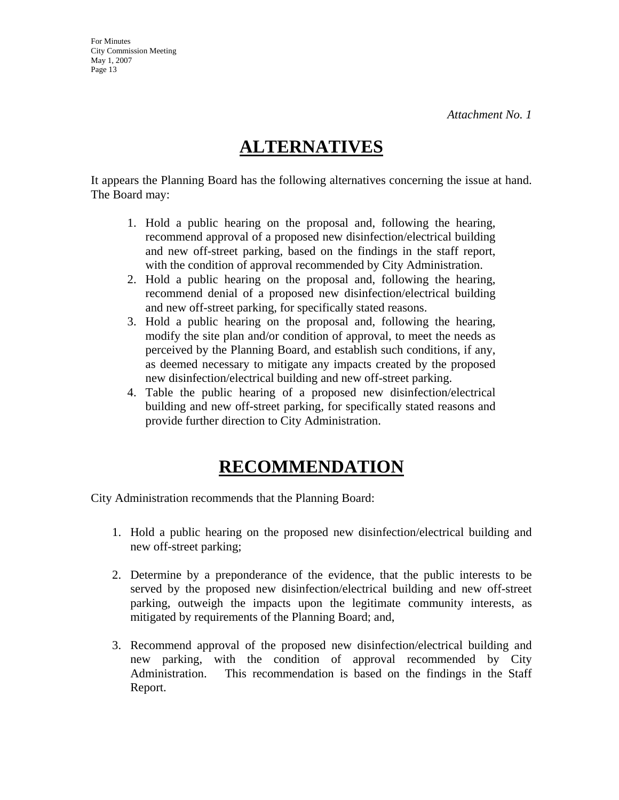*Attachment No. 1*

## **ALTERNATIVES**

It appears the Planning Board has the following alternatives concerning the issue at hand. The Board may:

- 1. Hold a public hearing on the proposal and, following the hearing, recommend approval of a proposed new disinfection/electrical building and new off-street parking, based on the findings in the staff report, with the condition of approval recommended by City Administration.
- 2. Hold a public hearing on the proposal and, following the hearing, recommend denial of a proposed new disinfection/electrical building and new off-street parking, for specifically stated reasons.
- 3. Hold a public hearing on the proposal and, following the hearing, modify the site plan and/or condition of approval, to meet the needs as perceived by the Planning Board, and establish such conditions, if any, as deemed necessary to mitigate any impacts created by the proposed new disinfection/electrical building and new off-street parking.
- 4. Table the public hearing of a proposed new disinfection/electrical building and new off-street parking, for specifically stated reasons and provide further direction to City Administration.

## **RECOMMENDATION**

City Administration recommends that the Planning Board:

- 1. Hold a public hearing on the proposed new disinfection/electrical building and new off-street parking;
- 2. Determine by a preponderance of the evidence, that the public interests to be served by the proposed new disinfection/electrical building and new off-street parking, outweigh the impacts upon the legitimate community interests, as mitigated by requirements of the Planning Board; and,
- 3. Recommend approval of the proposed new disinfection/electrical building and new parking, with the condition of approval recommended by City Administration. This recommendation is based on the findings in the Staff Report.